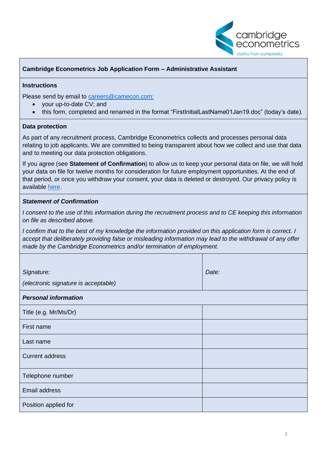

## **Cambridge Econometrics Job Application Form – Administrative Assistant**

#### **Instructions**

Please send by email to [careers@camecon.com:](mailto:careers@camecon.com)

- your up-to-date CV; and
- this form, completed and renamed in the format "FirstInitialLastName01Jan19.doc" (today's date).

#### **Data protection**

As part of any recruitment process, Cambridge Econometrics collects and processes personal data relating to job applicants. We are committed to being transparent about how we collect and use that data and to meeting our data protection obligations.

If you agree (see **Statement of Confirmation**) to allow us to keep your personal data on file, we will hold your data on file for twelve months for consideration for future employment opportunities. At the end of that period, or once you withdraw your consent, your data is deleted or destroyed. Our privacy policy is available [here.](http://www.camecon.com/wp-content/uploads/2019/03/Privacy-Policy-Job-Applicants.pdf)

### *Statement of Confirmation*

*I consent to the use of this information during the recruitment process and to CE keeping this information on file as described above.*

*I confirm that to the best of my knowledge the information provided on this application form is correct. I accept that deliberately providing false or misleading information may lead to the withdrawal of any offer made by the Cambridge Econometrics and/or termination of employment.*

| Signature:<br>(electronic signature is acceptable) | Date: |  |
|----------------------------------------------------|-------|--|
| <b>Personal information</b>                        |       |  |
| Title (e.g. Mr/Ms/Dr)                              |       |  |
| First name                                         |       |  |
| Last name                                          |       |  |
| <b>Current address</b>                             |       |  |
| Telephone number                                   |       |  |
| Email address                                      |       |  |
| Position applied for                               |       |  |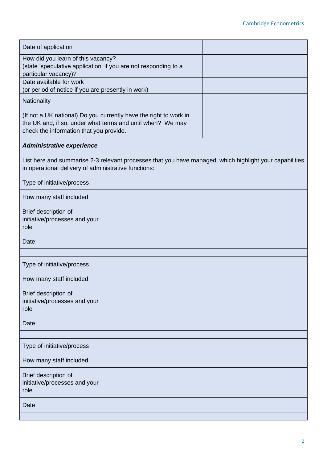| Date of application                                                                                                                                                        |  |  |  |
|----------------------------------------------------------------------------------------------------------------------------------------------------------------------------|--|--|--|
| How did you learn of this vacancy?<br>(state 'speculative application' if you are not responding to a<br>particular vacancy)?                                              |  |  |  |
| Date available for work<br>(or period of notice if you are presently in work)                                                                                              |  |  |  |
| Nationality                                                                                                                                                                |  |  |  |
| (If not a UK national) Do you currently have the right to work in<br>the UK and, if so, under what terms and until when? We may<br>check the information that you provide. |  |  |  |
| Administrative experience                                                                                                                                                  |  |  |  |
| List here and summarise 2-3 relevant processes that you have managed, which highlight your capabilities<br>in operational delivery of administrative functions:            |  |  |  |
| Type of initiative/process                                                                                                                                                 |  |  |  |
| How many staff included                                                                                                                                                    |  |  |  |
| Brief description of<br>initiative/processes and your<br>role                                                                                                              |  |  |  |
| Date                                                                                                                                                                       |  |  |  |
|                                                                                                                                                                            |  |  |  |
| Type of initiative/process                                                                                                                                                 |  |  |  |
| How many staff included                                                                                                                                                    |  |  |  |
| Brief description of<br>initiative/processes and your<br>role                                                                                                              |  |  |  |
| Date                                                                                                                                                                       |  |  |  |
|                                                                                                                                                                            |  |  |  |
| Type of initiative/process                                                                                                                                                 |  |  |  |
| How many staff included                                                                                                                                                    |  |  |  |
| Brief description of<br>initiative/processes and your<br>role                                                                                                              |  |  |  |
| Date                                                                                                                                                                       |  |  |  |
|                                                                                                                                                                            |  |  |  |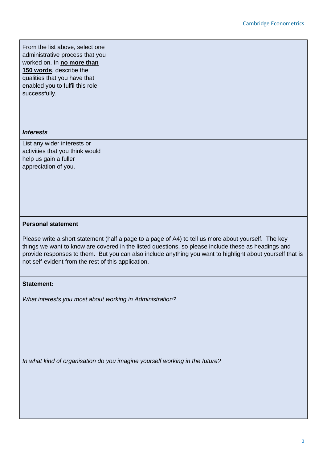| From the list above, select one<br>administrative process that you<br>worked on. In no more than<br>150 words, describe the<br>qualities that you have that<br>enabled you to fulfil this role<br>successfully.                                                                                                                                                                 |  |  |
|---------------------------------------------------------------------------------------------------------------------------------------------------------------------------------------------------------------------------------------------------------------------------------------------------------------------------------------------------------------------------------|--|--|
| <b>Interests</b>                                                                                                                                                                                                                                                                                                                                                                |  |  |
| List any wider interests or<br>activities that you think would<br>help us gain a fuller<br>appreciation of you.                                                                                                                                                                                                                                                                 |  |  |
| <b>Personal statement</b>                                                                                                                                                                                                                                                                                                                                                       |  |  |
| Please write a short statement (half a page to a page of A4) to tell us more about yourself. The key<br>things we want to know are covered in the listed questions, so please include these as headings and<br>provide responses to them. But you can also include anything you want to highlight about yourself that is<br>not self-evident from the rest of this application. |  |  |
| <b>Statement:</b>                                                                                                                                                                                                                                                                                                                                                               |  |  |
| What interests you most about working in Administration?                                                                                                                                                                                                                                                                                                                        |  |  |
| In what kind of organisation do you imagine yourself working in the future?                                                                                                                                                                                                                                                                                                     |  |  |
|                                                                                                                                                                                                                                                                                                                                                                                 |  |  |